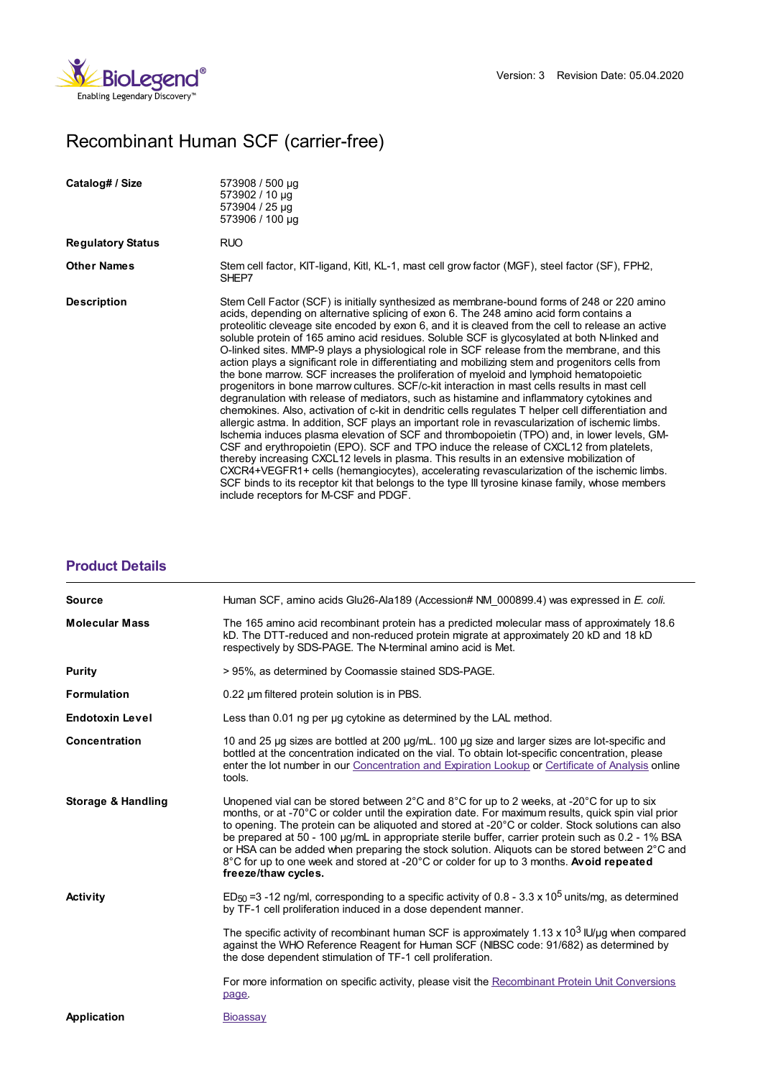

## Recombinant Human SCF (carrier-free)

| Catalog# / Size          | 573908 / 500 µg<br>573902 / 10 µg<br>573904 / 25 µg<br>573906 / 100 µg                                                                                                                                                                                                                                                                                                                                                                                                                                                                                                                                                                                                                                                                                                                                                                                                                                                                                                                                                                                                                                                                                                                                                                                                                                                                                                                                                                                                                                                                                                                                                             |
|--------------------------|------------------------------------------------------------------------------------------------------------------------------------------------------------------------------------------------------------------------------------------------------------------------------------------------------------------------------------------------------------------------------------------------------------------------------------------------------------------------------------------------------------------------------------------------------------------------------------------------------------------------------------------------------------------------------------------------------------------------------------------------------------------------------------------------------------------------------------------------------------------------------------------------------------------------------------------------------------------------------------------------------------------------------------------------------------------------------------------------------------------------------------------------------------------------------------------------------------------------------------------------------------------------------------------------------------------------------------------------------------------------------------------------------------------------------------------------------------------------------------------------------------------------------------------------------------------------------------------------------------------------------------|
| <b>Regulatory Status</b> | <b>RUO</b>                                                                                                                                                                                                                                                                                                                                                                                                                                                                                                                                                                                                                                                                                                                                                                                                                                                                                                                                                                                                                                                                                                                                                                                                                                                                                                                                                                                                                                                                                                                                                                                                                         |
| <b>Other Names</b>       | Stem cell factor, KIT-ligand, Kitl, KL-1, mast cell grow factor (MGF), steel factor (SF), FPH2,<br>SHEP7                                                                                                                                                                                                                                                                                                                                                                                                                                                                                                                                                                                                                                                                                                                                                                                                                                                                                                                                                                                                                                                                                                                                                                                                                                                                                                                                                                                                                                                                                                                           |
| <b>Description</b>       | Stem Cell Factor (SCF) is initially synthesized as membrane-bound forms of 248 or 220 amino<br>acids, depending on alternative splicing of exon 6. The 248 amino acid form contains a<br>proteolitic cleveage site encoded by exon 6, and it is cleaved from the cell to release an active<br>soluble protein of 165 amino acid residues. Soluble SCF is glycosylated at both N-linked and<br>O-linked sites. MMP-9 plays a physiological role in SCF release from the membrane, and this<br>action plays a significant role in differentiating and mobilizing stem and progenitors cells from<br>the bone marrow. SCF increases the proliferation of myeloid and lymphoid hematopoietic<br>progenitors in bone marrow cultures. SCF/c-kit interaction in mast cells results in mast cell<br>degranulation with release of mediators, such as histamine and inflammatory cytokines and<br>chemokines. Also, activation of c-kit in dendritic cells regulates T helper cell differentiation and<br>allergic astma. In addition, SCF plays an important role in revascularization of ischemic limbs.<br>Ischemia induces plasma elevation of SCF and thrombopoietin (TPO) and, in lower levels, GM-<br>CSF and erythropoietin (EPO). SCF and TPO induce the release of CXCL12 from platelets,<br>thereby increasing CXCL12 levels in plasma. This results in an extensive mobilization of<br>CXCR4+VEGFR1+ cells (hemangiocytes), accelerating revascularization of the ischemic limbs.<br>SCF binds to its receptor kit that belongs to the type III tyrosine kinase family, whose members<br>include receptors for M-CSF and PDGF. |

## **[Product](https://production-dynamicweb.biolegend.com/de-at/products/recombinant-human-scf-carrier-free-7591?pdf=true&displayInline=true&leftRightMargin=15&topBottomMargin=15&filename=Recombinant Human SCF (carrier-free).pdf#productDetails) Details**

| <b>Source</b>          | Human SCF, amino acids Glu26-Ala189 (Accession# NM 000899.4) was expressed in E. coli.                                                                                                                                                                                                                                                                                                                                                                                                                                                                                                                                                                      |
|------------------------|-------------------------------------------------------------------------------------------------------------------------------------------------------------------------------------------------------------------------------------------------------------------------------------------------------------------------------------------------------------------------------------------------------------------------------------------------------------------------------------------------------------------------------------------------------------------------------------------------------------------------------------------------------------|
| <b>Molecular Mass</b>  | The 165 amino acid recombinant protein has a predicted molecular mass of approximately 18.6<br>kD. The DTT-reduced and non-reduced protein migrate at approximately 20 kD and 18 kD<br>respectively by SDS-PAGE. The N-terminal amino acid is Met.                                                                                                                                                                                                                                                                                                                                                                                                          |
| Purity                 | > 95%, as determined by Coomassie stained SDS-PAGE.                                                                                                                                                                                                                                                                                                                                                                                                                                                                                                                                                                                                         |
| <b>Formulation</b>     | 0.22 um filtered protein solution is in PBS.                                                                                                                                                                                                                                                                                                                                                                                                                                                                                                                                                                                                                |
| <b>Endotoxin Level</b> | Less than 0.01 ng per ug cytokine as determined by the LAL method.                                                                                                                                                                                                                                                                                                                                                                                                                                                                                                                                                                                          |
| Concentration          | 10 and 25 µg sizes are bottled at 200 µg/mL. 100 µg size and larger sizes are lot-specific and<br>bottled at the concentration indicated on the vial. To obtain lot-specific concentration, please<br>enter the lot number in our Concentration and Expiration Lookup or Certificate of Analysis online<br>tools.                                                                                                                                                                                                                                                                                                                                           |
| Storage & Handling     | Unopened vial can be stored between $2^{\circ}$ C and $8^{\circ}$ C for up to 2 weeks, at -20 $^{\circ}$ C for up to six<br>months, or at -70°C or colder until the expiration date. For maximum results, quick spin vial prior<br>to opening. The protein can be aliquoted and stored at -20°C or colder. Stock solutions can also<br>be prepared at 50 - 100 µg/mL in appropriate sterile buffer, carrier protein such as 0.2 - 1% BSA<br>or HSA can be added when preparing the stock solution. Aliquots can be stored between 2°C and<br>8°C for up to one week and stored at -20°C or colder for up to 3 months. Avoid repeated<br>freeze/thaw cycles. |
| <b>Activity</b>        | ED <sub>50</sub> =3 -12 ng/ml, corresponding to a specific activity of 0.8 - 3.3 x 10 <sup>5</sup> units/mg, as determined<br>by TF-1 cell proliferation induced in a dose dependent manner.                                                                                                                                                                                                                                                                                                                                                                                                                                                                |
|                        | The specific activity of recombinant human SCF is approximately 1.13 x 10 <sup>3</sup> IU/µg when compared<br>against the WHO Reference Reagent for Human SCF (NIBSC code: 91/682) as determined by<br>the dose dependent stimulation of TF-1 cell proliferation.                                                                                                                                                                                                                                                                                                                                                                                           |
|                        | For more information on specific activity, please visit the Recombinant Protein Unit Conversions<br>page.                                                                                                                                                                                                                                                                                                                                                                                                                                                                                                                                                   |
| <b>Application</b>     | <b>Bioassay</b>                                                                                                                                                                                                                                                                                                                                                                                                                                                                                                                                                                                                                                             |